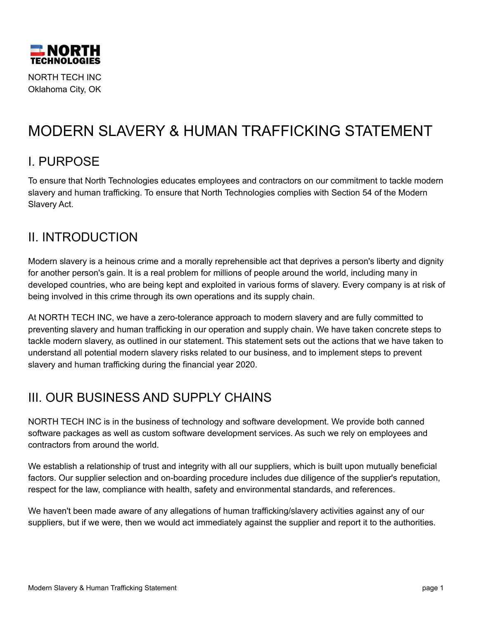

NORTH TECH INC Oklahoma City, OK

# MODERN SLAVERY & HUMAN TRAFFICKING STATEMENT

#### I. PURPOSE

To ensure that North Technologies educates employees and contractors on our commitment to tackle modern slavery and human trafficking. To ensure that North Technologies complies with Section 54 of the Modern Slavery Act.

#### II. INTRODUCTION

Modern slavery is a heinous crime and a morally reprehensible act that deprives a person's liberty and dignity for another person's gain. It is a real problem for millions of people around the world, including many in developed countries, who are being kept and exploited in various forms of slavery. Every company is at risk of being involved in this crime through its own operations and its supply chain.

At NORTH TECH INC, we have a zero-tolerance approach to modern slavery and are fully committed to preventing slavery and human trafficking in our operation and supply chain. We have taken concrete steps to tackle modern slavery, as outlined in our statement. This statement sets out the actions that we have taken to understand all potential modern slavery risks related to our business, and to implement steps to prevent slavery and human trafficking during the financial year 2020.

# **III. OUR BUSINESS AND SUPPLY CHAINS**

NORTH TECH INC is in the business of technology and software development. We provide both canned software packages as well as custom software development services. As such we rely on employees and contractors from around the world.

We establish a relationship of trust and integrity with all our suppliers, which is built upon mutually beneficial factors. Our supplier selection and on-boarding procedure includes due diligence of the supplier's reputation, respect for the law, compliance with health, safety and environmental standards, and references.

We haven't been made aware of any allegations of human trafficking/slavery activities against any of our suppliers, but if we were, then we would act immediately against the supplier and report it to the authorities.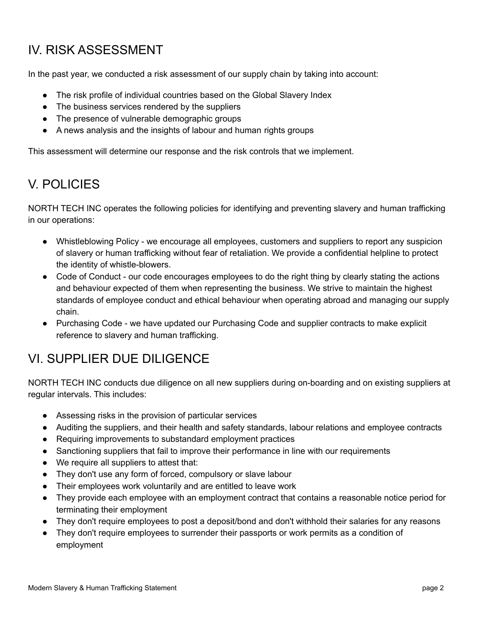## IV. RISK ASSESSMENT

In the past year, we conducted a risk assessment of our supply chain by taking into account:

- The risk profile of individual countries based on the Global Slavery Index
- The business services rendered by the suppliers
- The presence of vulnerable demographic groups
- A news analysis and the insights of labour and human rights groups

This assessment will determine our response and the risk controls that we implement.

### V. POLICIES

NORTH TECH INC operates the following policies for identifying and preventing slavery and human trafficking in our operations:

- Whistleblowing Policy we encourage all employees, customers and suppliers to report any suspicion of slavery or human trafficking without fear of retaliation. We provide a confidential helpline to protect the identity of whistle-blowers.
- Code of Conduct our code encourages employees to do the right thing by clearly stating the actions and behaviour expected of them when representing the business. We strive to maintain the highest standards of employee conduct and ethical behaviour when operating abroad and managing our supply chain.
- Purchasing Code we have updated our Purchasing Code and supplier contracts to make explicit reference to slavery and human trafficking.

# VI. SUPPLIER DUE DILIGENCE

NORTH TECH INC conducts due diligence on all new suppliers during on-boarding and on existing suppliers at regular intervals. This includes:

- Assessing risks in the provision of particular services
- Auditing the suppliers, and their health and safety standards, labour relations and employee contracts
- Requiring improvements to substandard employment practices
- Sanctioning suppliers that fail to improve their performance in line with our requirements
- We require all suppliers to attest that:
- They don't use any form of forced, compulsory or slave labour
- Their employees work voluntarily and are entitled to leave work
- They provide each employee with an employment contract that contains a reasonable notice period for terminating their employment
- They don't require employees to post a deposit/bond and don't withhold their salaries for any reasons
- They don't require employees to surrender their passports or work permits as a condition of employment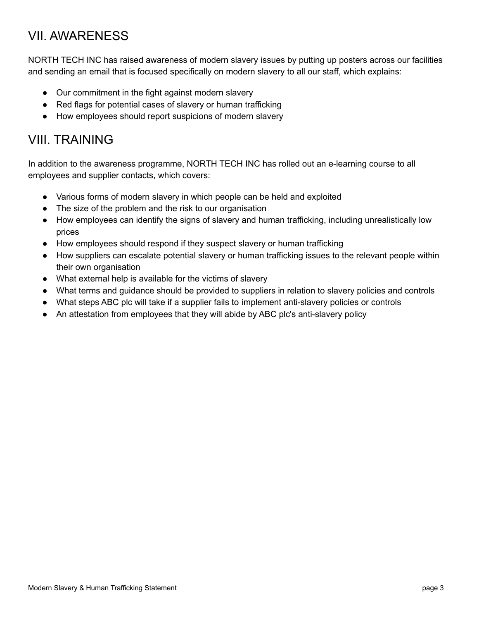#### VII. AWARENESS

NORTH TECH INC has raised awareness of modern slavery issues by putting up posters across our facilities and sending an email that is focused specifically on modern slavery to all our staff, which explains:

- Our commitment in the fight against modern slavery
- Red flags for potential cases of slavery or human trafficking
- How employees should report suspicions of modern slavery

#### VIII. TRAINING

In addition to the awareness programme, NORTH TECH INC has rolled out an e-learning course to all employees and supplier contacts, which covers:

- Various forms of modern slavery in which people can be held and exploited
- The size of the problem and the risk to our organisation
- How employees can identify the signs of slavery and human trafficking, including unrealistically low prices
- How employees should respond if they suspect slavery or human trafficking
- How suppliers can escalate potential slavery or human trafficking issues to the relevant people within their own organisation
- What external help is available for the victims of slavery
- What terms and guidance should be provided to suppliers in relation to slavery policies and controls
- What steps ABC plc will take if a supplier fails to implement anti-slavery policies or controls
- An attestation from employees that they will abide by ABC plc's anti-slavery policy